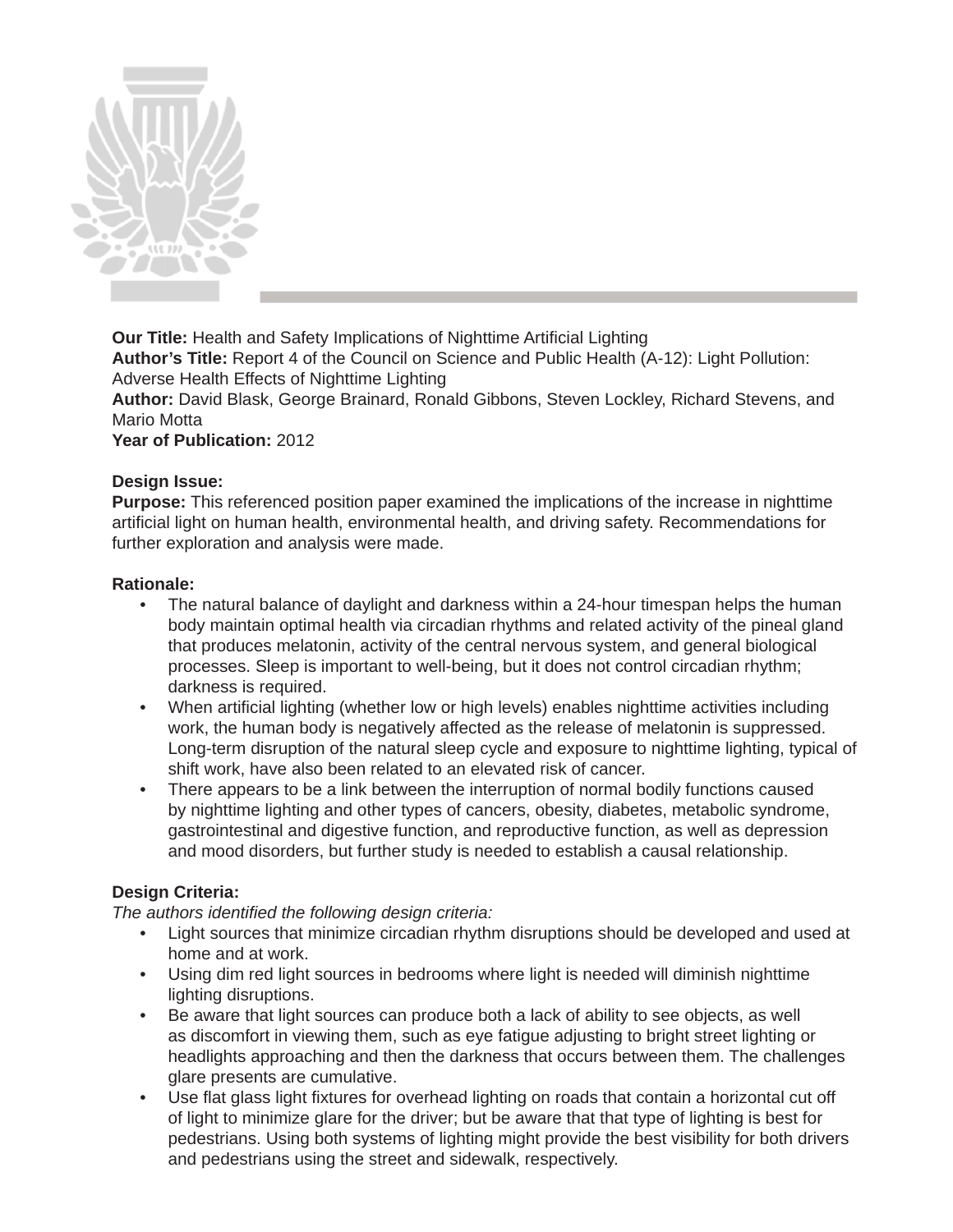

**Our Title:** Health and Safety Implications of Nighttime Artificial Lighting **Author's Title:** Report 4 of the Council on Science and Public Health (A-12): Light Pollution: Adverse Health Effects of Nighttime Lighting

**Author:** David Blask, George Brainard, Ronald Gibbons, Steven Lockley, Richard Stevens, and Mario Motta

**Year of Publication:** 2012

### **Design Issue:**

**Purpose:** This referenced position paper examined the implications of the increase in nighttime artificial light on human health, environmental health, and driving safety. Recommendations for further exploration and analysis were made.

### **Rationale:**

- The natural balance of daylight and darkness within a 24-hour timespan helps the human body maintain optimal health via circadian rhythms and related activity of the pineal gland that produces melatonin, activity of the central nervous system, and general biological processes. Sleep is important to well-being, but it does not control circadian rhythm; darkness is required.
- When artificial lighting (whether low or high levels) enables nighttime activities including work, the human body is negatively affected as the release of melatonin is suppressed. Long-term disruption of the natural sleep cycle and exposure to nighttime lighting, typical of shift work, have also been related to an elevated risk of cancer.
- There appears to be a link between the interruption of normal bodily functions caused by nighttime lighting and other types of cancers, obesity, diabetes, metabolic syndrome, gastrointestinal and digestive function, and reproductive function, as well as depression and mood disorders, but further study is needed to establish a causal relationship.

## **Design Criteria:**

*The authors identified the following design criteria:* 

- Light sources that minimize circadian rhythm disruptions should be developed and used at home and at work.
- Using dim red light sources in bedrooms where light is needed will diminish nighttime lighting disruptions.
- Be aware that light sources can produce both a lack of ability to see objects, as well as discomfort in viewing them, such as eye fatigue adjusting to bright street lighting or headlights approaching and then the darkness that occurs between them. The challenges glare presents are cumulative.
- Use flat glass light fixtures for overhead lighting on roads that contain a horizontal cut off of light to minimize glare for the driver; but be aware that that type of lighting is best for pedestrians. Using both systems of lighting might provide the best visibility for both drivers and pedestrians using the street and sidewalk, respectively.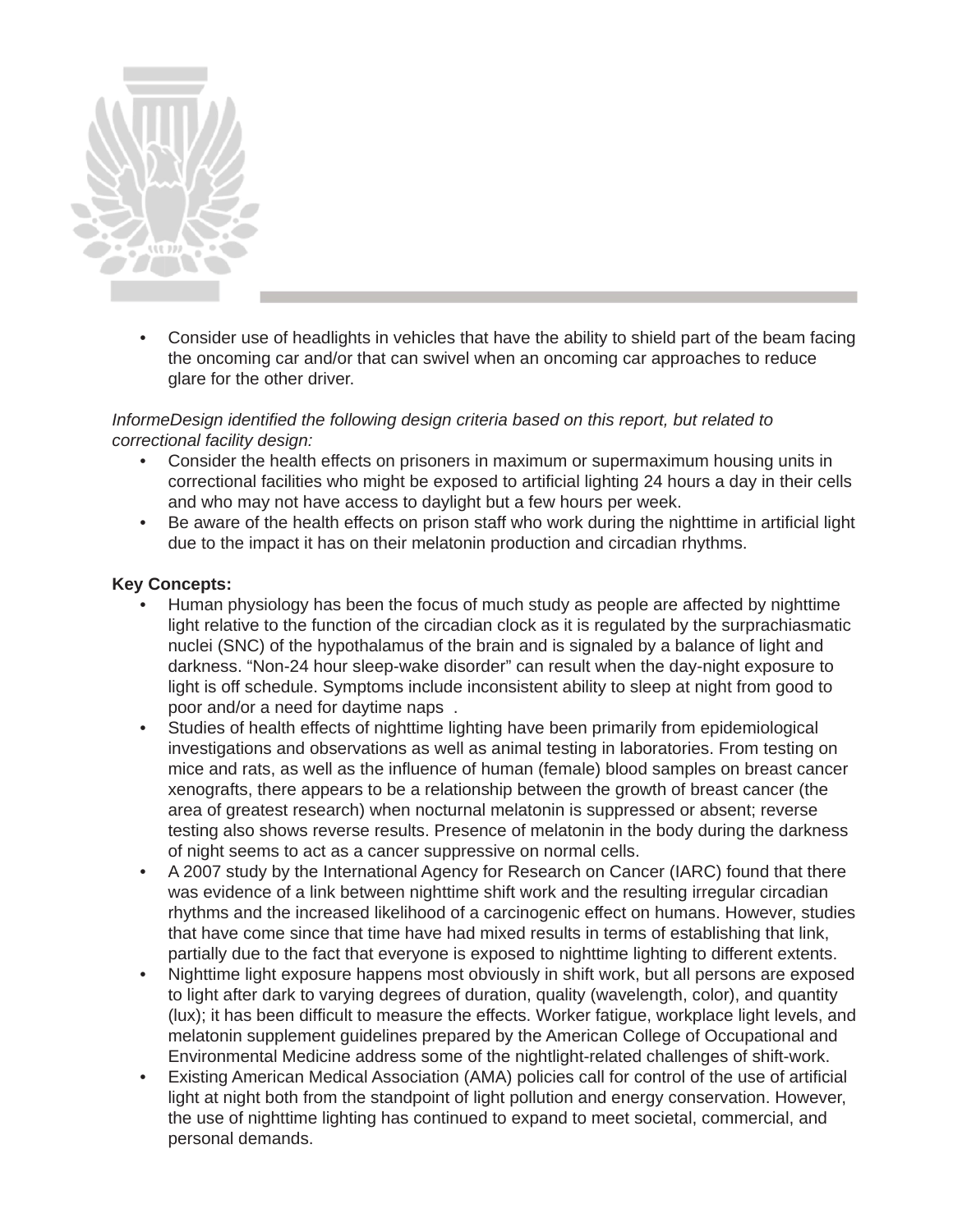

• Consider use of headlights in vehicles that have the ability to shield part of the beam facing the oncoming car and/or that can swivel when an oncoming car approaches to reduce glare for the other driver.

*InformeDesign identifi ed the following design criteria based on this report, but related to correctional facility design:*

- Consider the health effects on prisoners in maximum or supermaximum housing units in correctional facilities who might be exposed to artificial lighting 24 hours a day in their cells and who may not have access to daylight but a few hours per week.
- Be aware of the health effects on prison staff who work during the nighttime in artificial light due to the impact it has on their melatonin production and circadian rhythms.

### **Key Concepts:**

- Human physiology has been the focus of much study as people are affected by nighttime light relative to the function of the circadian clock as it is regulated by the surprachiasmatic nuclei (SNC) of the hypothalamus of the brain and is signaled by a balance of light and darkness. "Non-24 hour sleep-wake disorder" can result when the day-night exposure to light is off schedule. Symptoms include inconsistent ability to sleep at night from good to poor and/or a need for daytime naps .
- Studies of health effects of nighttime lighting have been primarily from epidemiological investigations and observations as well as animal testing in laboratories. From testing on mice and rats, as well as the influence of human (female) blood samples on breast cancer xenografts, there appears to be a relationship between the growth of breast cancer (the area of greatest research) when nocturnal melatonin is suppressed or absent; reverse testing also shows reverse results. Presence of melatonin in the body during the darkness of night seems to act as a cancer suppressive on normal cells.
- A 2007 study by the International Agency for Research on Cancer (IARC) found that there was evidence of a link between nighttime shift work and the resulting irregular circadian rhythms and the increased likelihood of a carcinogenic effect on humans. However, studies that have come since that time have had mixed results in terms of establishing that link, partially due to the fact that everyone is exposed to nighttime lighting to different extents.
- Nighttime light exposure happens most obviously in shift work, but all persons are exposed to light after dark to varying degrees of duration, quality (wavelength, color), and quantity (lux); it has been difficult to measure the effects. Worker fatigue, workplace light levels, and melatonin supplement guidelines prepared by the American College of Occupational and Environmental Medicine address some of the nightlight-related challenges of shift-work.
- Existing American Medical Association (AMA) policies call for control of the use of artificial light at night both from the standpoint of light pollution and energy conservation. However, the use of nighttime lighting has continued to expand to meet societal, commercial, and personal demands.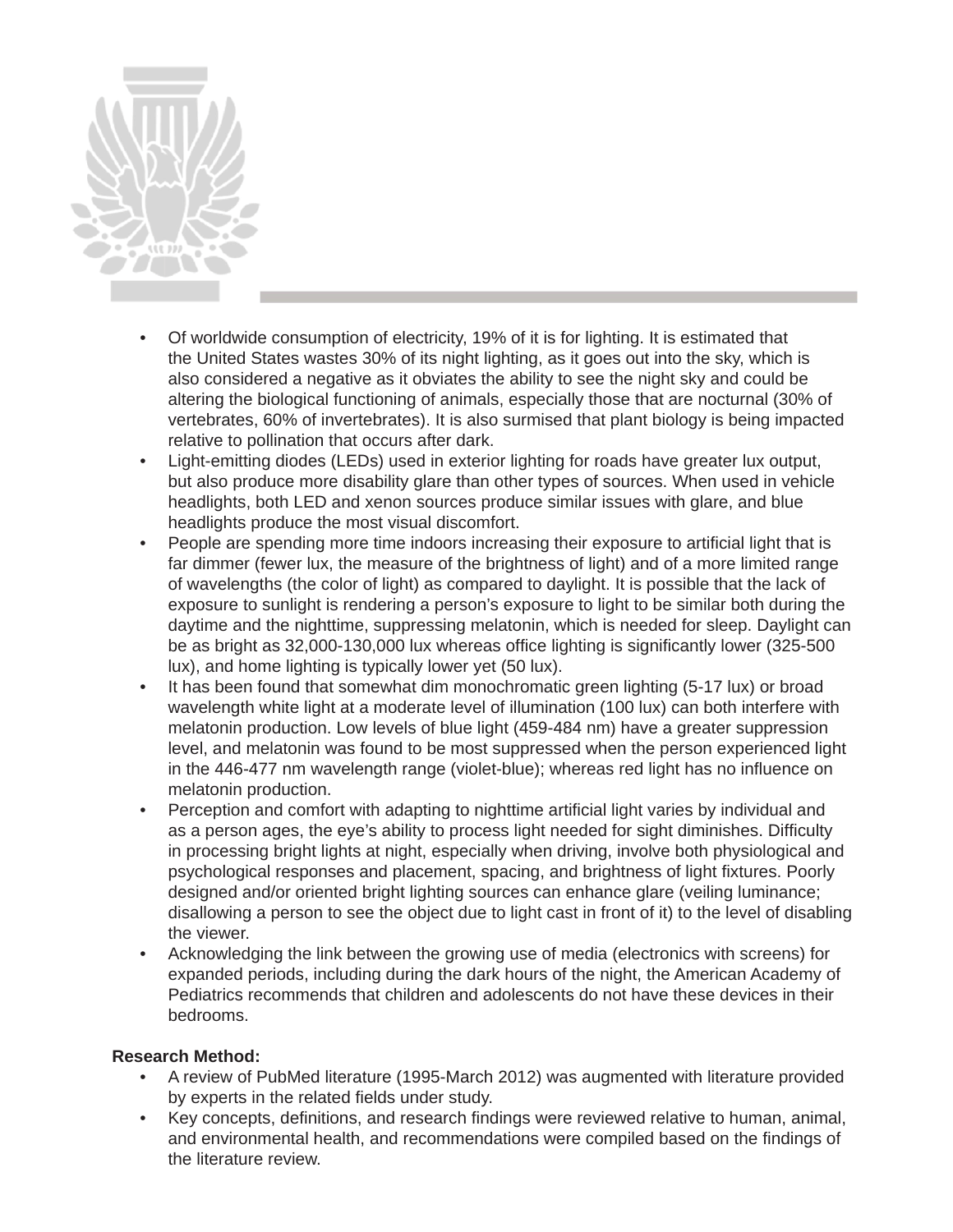

- Of worldwide consumption of electricity, 19% of it is for lighting. It is estimated that the United States wastes 30% of its night lighting, as it goes out into the sky, which is also considered a negative as it obviates the ability to see the night sky and could be altering the biological functioning of animals, especially those that are nocturnal (30% of vertebrates, 60% of invertebrates). It is also surmised that plant biology is being impacted relative to pollination that occurs after dark.
- Light-emitting diodes (LEDs) used in exterior lighting for roads have greater lux output, but also produce more disability glare than other types of sources. When used in vehicle headlights, both LED and xenon sources produce similar issues with glare, and blue headlights produce the most visual discomfort.
- People are spending more time indoors increasing their exposure to artificial light that is far dimmer (fewer lux, the measure of the brightness of light) and of a more limited range of wavelengths (the color of light) as compared to daylight. It is possible that the lack of exposure to sunlight is rendering a person's exposure to light to be similar both during the daytime and the nighttime, suppressing melatonin, which is needed for sleep. Daylight can be as bright as 32,000-130,000 lux whereas office lighting is significantly lower (325-500 lux), and home lighting is typically lower yet (50 lux).
- It has been found that somewhat dim monochromatic green lighting (5-17 lux) or broad wavelength white light at a moderate level of illumination (100 lux) can both interfere with melatonin production. Low levels of blue light (459-484 nm) have a greater suppression level, and melatonin was found to be most suppressed when the person experienced light in the 446-477 nm wavelength range (violet-blue); whereas red light has no influence on melatonin production.
- Perception and comfort with adapting to nighttime artificial light varies by individual and as a person ages, the eye's ability to process light needed for sight diminishes. Difficulty in processing bright lights at night, especially when driving, involve both physiological and psychological responses and placement, spacing, and brightness of light fixtures. Poorly designed and/or oriented bright lighting sources can enhance glare (veiling luminance; disallowing a person to see the object due to light cast in front of it) to the level of disabling the viewer.
- Acknowledging the link between the growing use of media (electronics with screens) for expanded periods, including during the dark hours of the night, the American Academy of Pediatrics recommends that children and adolescents do not have these devices in their bedrooms.

## **Research Method:**

- A review of PubMed literature (1995-March 2012) was augmented with literature provided by experts in the related fields under study.
- Key concepts, definitions, and research findings were reviewed relative to human, animal, and environmental health, and recommendations were compiled based on the findings of the literature review.